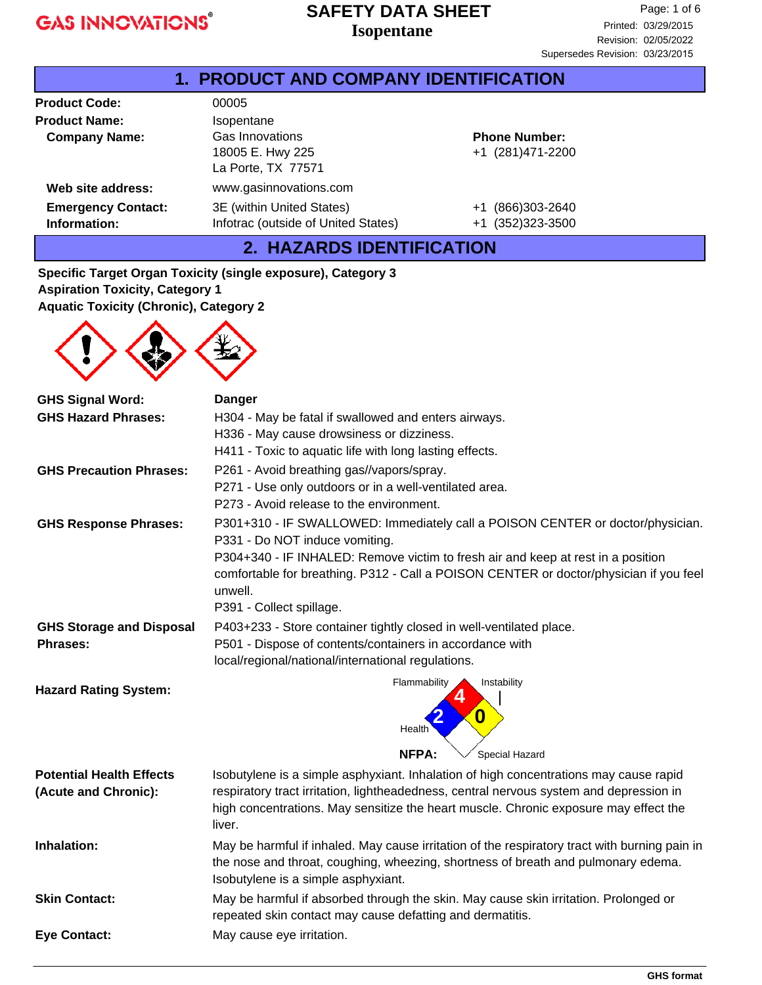## **Isopentane SAFETY DATA SHEET**

| <b>1. PRODUCT AND COMPANY IDENTIFICATION</b> |                                     |                       |  |
|----------------------------------------------|-------------------------------------|-----------------------|--|
| <b>Product Code:</b>                         | 00005                               |                       |  |
| <b>Product Name:</b>                         | Isopentane                          |                       |  |
| <b>Company Name:</b>                         | Gas Innovations                     | <b>Phone Number:</b>  |  |
|                                              | 18005 E. Hwy 225                    | +1 (281)471-2200      |  |
|                                              | La Porte, TX 77571                  |                       |  |
| Web site address:                            | www.gasinnovations.com              |                       |  |
| <b>Emergency Contact:</b>                    | 3E (within United States)           | +1 (866)303-2640      |  |
| Information:                                 | Infotrac (outside of United States) | (352)323-3500<br>$+1$ |  |
| 2. HAZARDS IDENTIFICATION                    |                                     |                       |  |

**Specific Target Organ Toxicity (single exposure), Category 3 Aspiration Toxicity, Category 1**

**Aquatic Toxicity (Chronic), Category 2**



| <b>GHS Signal Word:</b>                                                     | <b>Danger</b>                                                                                                                                                                                                                                                                      |  |  |
|-----------------------------------------------------------------------------|------------------------------------------------------------------------------------------------------------------------------------------------------------------------------------------------------------------------------------------------------------------------------------|--|--|
| <b>GHS Hazard Phrases:</b>                                                  | H304 - May be fatal if swallowed and enters airways.                                                                                                                                                                                                                               |  |  |
|                                                                             | H336 - May cause drowsiness or dizziness.                                                                                                                                                                                                                                          |  |  |
|                                                                             | H411 - Toxic to aquatic life with long lasting effects.                                                                                                                                                                                                                            |  |  |
| <b>GHS Precaution Phrases:</b>                                              | P261 - Avoid breathing gas//vapors/spray.                                                                                                                                                                                                                                          |  |  |
|                                                                             | P271 - Use only outdoors or in a well-ventilated area.                                                                                                                                                                                                                             |  |  |
|                                                                             | P273 - Avoid release to the environment.                                                                                                                                                                                                                                           |  |  |
| <b>GHS Response Phrases:</b>                                                | P301+310 - IF SWALLOWED: Immediately call a POISON CENTER or doctor/physician.<br>P331 - Do NOT induce vomiting.                                                                                                                                                                   |  |  |
|                                                                             | P304+340 - IF INHALED: Remove victim to fresh air and keep at rest in a position<br>comfortable for breathing. P312 - Call a POISON CENTER or doctor/physician if you feel<br>unwell.                                                                                              |  |  |
|                                                                             | P391 - Collect spillage.                                                                                                                                                                                                                                                           |  |  |
| <b>GHS Storage and Disposal</b>                                             | P403+233 - Store container tightly closed in well-ventilated place.                                                                                                                                                                                                                |  |  |
| P501 - Dispose of contents/containers in accordance with<br><b>Phrases:</b> |                                                                                                                                                                                                                                                                                    |  |  |
|                                                                             | local/regional/national/international regulations.                                                                                                                                                                                                                                 |  |  |
| <b>Hazard Rating System:</b>                                                | Flammability<br>Instability<br>0<br>Health                                                                                                                                                                                                                                         |  |  |
|                                                                             | NFPA:<br>Special Hazard                                                                                                                                                                                                                                                            |  |  |
| <b>Potential Health Effects</b><br>(Acute and Chronic):                     | Isobutylene is a simple asphyxiant. Inhalation of high concentrations may cause rapid<br>respiratory tract irritation, lightheadedness, central nervous system and depression in<br>high concentrations. May sensitize the heart muscle. Chronic exposure may effect the<br>liver. |  |  |
| Inhalation:                                                                 | May be harmful if inhaled. May cause irritation of the respiratory tract with burning pain in<br>the nose and throat, coughing, wheezing, shortness of breath and pulmonary edema.<br>Isobutylene is a simple asphyxiant.                                                          |  |  |
| <b>Skin Contact:</b>                                                        | May be harmful if absorbed through the skin. May cause skin irritation. Prolonged or<br>repeated skin contact may cause defatting and dermatitis.                                                                                                                                  |  |  |
| <b>Eye Contact:</b>                                                         | May cause eye irritation.                                                                                                                                                                                                                                                          |  |  |
|                                                                             |                                                                                                                                                                                                                                                                                    |  |  |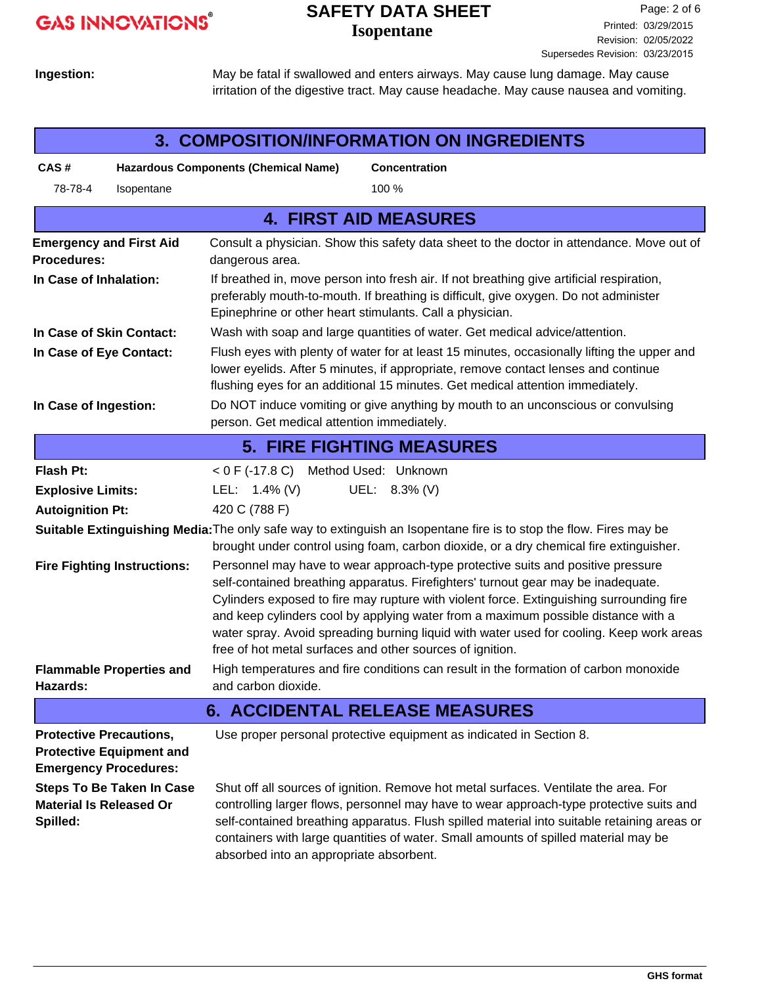# **GAS INNOVATIONS®**

## **Isopentane SAFETY DATA SHEET**

**Ingestion:**

May be fatal if swallowed and enters airways. May cause lung damage. May cause irritation of the digestive tract. May cause headache. May cause nausea and vomiting.

| <b>3. COMPOSITION/INFORMATION ON INGREDIENTS</b>                                                  |                                                                                                                                                                                                                                                                                                                                                                                                                                                                                                                |  |  |
|---------------------------------------------------------------------------------------------------|----------------------------------------------------------------------------------------------------------------------------------------------------------------------------------------------------------------------------------------------------------------------------------------------------------------------------------------------------------------------------------------------------------------------------------------------------------------------------------------------------------------|--|--|
| CAS#                                                                                              | <b>Hazardous Components (Chemical Name)</b><br><b>Concentration</b>                                                                                                                                                                                                                                                                                                                                                                                                                                            |  |  |
| 78-78-4<br>Isopentane                                                                             | 100 %                                                                                                                                                                                                                                                                                                                                                                                                                                                                                                          |  |  |
|                                                                                                   | <b>4. FIRST AID MEASURES</b>                                                                                                                                                                                                                                                                                                                                                                                                                                                                                   |  |  |
| <b>Emergency and First Aid</b><br><b>Procedures:</b>                                              | Consult a physician. Show this safety data sheet to the doctor in attendance. Move out of<br>dangerous area.                                                                                                                                                                                                                                                                                                                                                                                                   |  |  |
| In Case of Inhalation:                                                                            | If breathed in, move person into fresh air. If not breathing give artificial respiration,<br>preferably mouth-to-mouth. If breathing is difficult, give oxygen. Do not administer<br>Epinephrine or other heart stimulants. Call a physician.                                                                                                                                                                                                                                                                  |  |  |
| In Case of Skin Contact:                                                                          | Wash with soap and large quantities of water. Get medical advice/attention.                                                                                                                                                                                                                                                                                                                                                                                                                                    |  |  |
| In Case of Eye Contact:                                                                           | Flush eyes with plenty of water for at least 15 minutes, occasionally lifting the upper and<br>lower eyelids. After 5 minutes, if appropriate, remove contact lenses and continue<br>flushing eyes for an additional 15 minutes. Get medical attention immediately.                                                                                                                                                                                                                                            |  |  |
| In Case of Ingestion:                                                                             | Do NOT induce vomiting or give anything by mouth to an unconscious or convulsing<br>person. Get medical attention immediately.                                                                                                                                                                                                                                                                                                                                                                                 |  |  |
|                                                                                                   | <b>5. FIRE FIGHTING MEASURES</b>                                                                                                                                                                                                                                                                                                                                                                                                                                                                               |  |  |
| <b>Flash Pt:</b>                                                                                  | < 0 F (-17.8 C) Method Used: Unknown                                                                                                                                                                                                                                                                                                                                                                                                                                                                           |  |  |
| <b>Explosive Limits:</b>                                                                          | LEL: $1.4\%$ (V)<br>UEL: 8.3% (V)                                                                                                                                                                                                                                                                                                                                                                                                                                                                              |  |  |
| <b>Autoignition Pt:</b>                                                                           | 420 C (788 F)                                                                                                                                                                                                                                                                                                                                                                                                                                                                                                  |  |  |
|                                                                                                   | Suitable Extinguishing Media: The only safe way to extinguish an Isopentane fire is to stop the flow. Fires may be<br>brought under control using foam, carbon dioxide, or a dry chemical fire extinguisher.                                                                                                                                                                                                                                                                                                   |  |  |
| <b>Fire Fighting Instructions:</b>                                                                | Personnel may have to wear approach-type protective suits and positive pressure<br>self-contained breathing apparatus. Firefighters' turnout gear may be inadequate.<br>Cylinders exposed to fire may rupture with violent force. Extinguishing surrounding fire<br>and keep cylinders cool by applying water from a maximum possible distance with a<br>water spray. Avoid spreading burning liquid with water used for cooling. Keep work areas<br>free of hot metal surfaces and other sources of ignition. |  |  |
| <b>Flammable Properties and</b>                                                                   | High temperatures and fire conditions can result in the formation of carbon monoxide                                                                                                                                                                                                                                                                                                                                                                                                                           |  |  |
| Hazards:                                                                                          | and carbon dioxide.                                                                                                                                                                                                                                                                                                                                                                                                                                                                                            |  |  |
| <b>6. ACCIDENTAL RELEASE MEASURES</b>                                                             |                                                                                                                                                                                                                                                                                                                                                                                                                                                                                                                |  |  |
| <b>Protective Precautions,</b><br><b>Protective Equipment and</b><br><b>Emergency Procedures:</b> | Use proper personal protective equipment as indicated in Section 8.                                                                                                                                                                                                                                                                                                                                                                                                                                            |  |  |
| <b>Steps To Be Taken In Case</b><br><b>Material Is Released Or</b><br>Spilled:                    | Shut off all sources of ignition. Remove hot metal surfaces. Ventilate the area. For<br>controlling larger flows, personnel may have to wear approach-type protective suits and<br>self-contained breathing apparatus. Flush spilled material into suitable retaining areas or<br>containers with large quantities of water. Small amounts of spilled material may be<br>absorbed into an appropriate absorbent.                                                                                               |  |  |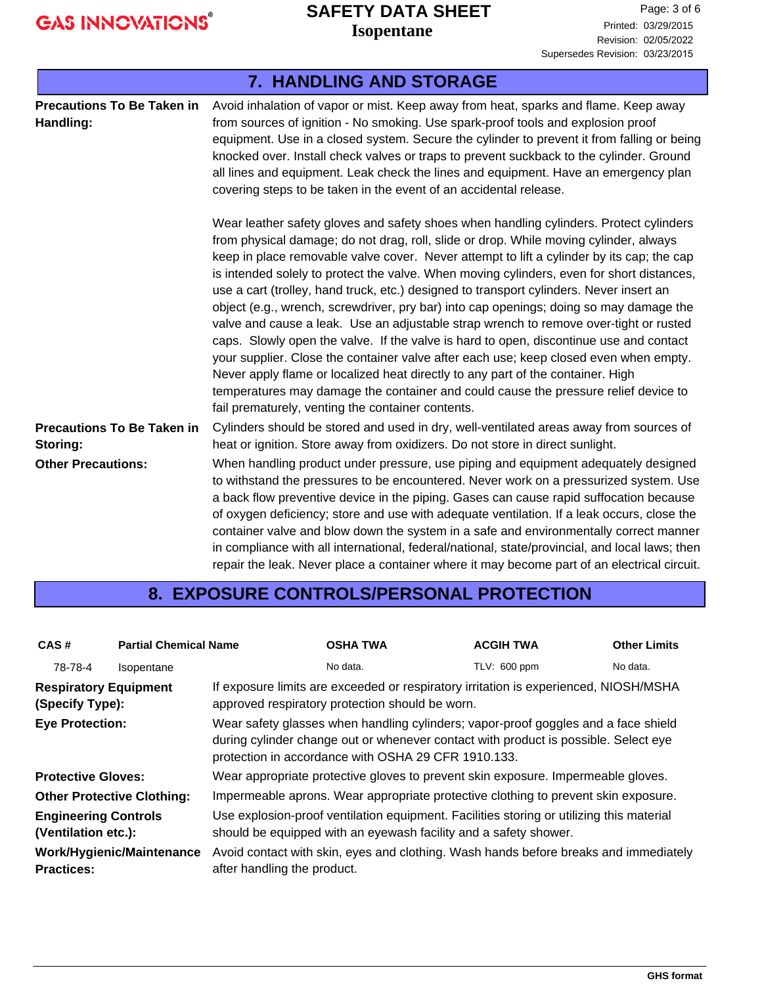## **Isopentane SAFETY DATA SHEET**

| <b>7. HANDLING AND STORAGE</b>                 |                                                                                                                                                                                                                                                                                                                                                                                                                                                                                                                                                                                                                                                                                                                                                                                                                                                                                                                                                                                                                                                                           |  |  |  |
|------------------------------------------------|---------------------------------------------------------------------------------------------------------------------------------------------------------------------------------------------------------------------------------------------------------------------------------------------------------------------------------------------------------------------------------------------------------------------------------------------------------------------------------------------------------------------------------------------------------------------------------------------------------------------------------------------------------------------------------------------------------------------------------------------------------------------------------------------------------------------------------------------------------------------------------------------------------------------------------------------------------------------------------------------------------------------------------------------------------------------------|--|--|--|
| <b>Precautions To Be Taken in</b><br>Handling: | Avoid inhalation of vapor or mist. Keep away from heat, sparks and flame. Keep away<br>from sources of ignition - No smoking. Use spark-proof tools and explosion proof<br>equipment. Use in a closed system. Secure the cylinder to prevent it from falling or being<br>knocked over. Install check valves or traps to prevent suckback to the cylinder. Ground<br>all lines and equipment. Leak check the lines and equipment. Have an emergency plan<br>covering steps to be taken in the event of an accidental release.                                                                                                                                                                                                                                                                                                                                                                                                                                                                                                                                              |  |  |  |
|                                                | Wear leather safety gloves and safety shoes when handling cylinders. Protect cylinders<br>from physical damage; do not drag, roll, slide or drop. While moving cylinder, always<br>keep in place removable valve cover. Never attempt to lift a cylinder by its cap; the cap<br>is intended solely to protect the valve. When moving cylinders, even for short distances,<br>use a cart (trolley, hand truck, etc.) designed to transport cylinders. Never insert an<br>object (e.g., wrench, screwdriver, pry bar) into cap openings; doing so may damage the<br>valve and cause a leak. Use an adjustable strap wrench to remove over-tight or rusted<br>caps. Slowly open the valve. If the valve is hard to open, discontinue use and contact<br>your supplier. Close the container valve after each use; keep closed even when empty.<br>Never apply flame or localized heat directly to any part of the container. High<br>temperatures may damage the container and could cause the pressure relief device to<br>fail prematurely, venting the container contents. |  |  |  |
| <b>Precautions To Be Taken in</b><br>Storing:  | Cylinders should be stored and used in dry, well-ventilated areas away from sources of<br>heat or ignition. Store away from oxidizers. Do not store in direct sunlight.                                                                                                                                                                                                                                                                                                                                                                                                                                                                                                                                                                                                                                                                                                                                                                                                                                                                                                   |  |  |  |
| <b>Other Precautions:</b>                      | When handling product under pressure, use piping and equipment adequately designed<br>to withstand the pressures to be encountered. Never work on a pressurized system. Use<br>a back flow preventive device in the piping. Gases can cause rapid suffocation because<br>of oxygen deficiency; store and use with adequate ventilation. If a leak occurs, close the<br>container valve and blow down the system in a safe and environmentally correct manner<br>in compliance with all international, federal/national, state/provincial, and local laws; then<br>repair the leak. Never place a container where it may become part of an electrical circuit.                                                                                                                                                                                                                                                                                                                                                                                                             |  |  |  |

## **8. EXPOSURE CONTROLS/PERSONAL PROTECTION**

| CAS#                                                                                                                                                                                                                                                       | <b>Partial Chemical Name</b> |                                                                                                                                         | <b>OSHA TWA</b>                                                                                                                                                                                                                                      | <b>ACGIH TWA</b> | <b>Other Limits</b> |
|------------------------------------------------------------------------------------------------------------------------------------------------------------------------------------------------------------------------------------------------------------|------------------------------|-----------------------------------------------------------------------------------------------------------------------------------------|------------------------------------------------------------------------------------------------------------------------------------------------------------------------------------------------------------------------------------------------------|------------------|---------------------|
| 78-78-4                                                                                                                                                                                                                                                    | <b>Isopentane</b>            |                                                                                                                                         | No data.                                                                                                                                                                                                                                             | TLV: 600 ppm     | No data.            |
| <b>Respiratory Equipment</b><br>(Specify Type):                                                                                                                                                                                                            |                              | If exposure limits are exceeded or respiratory irritation is experienced, NIOSH/MSHA<br>approved respiratory protection should be worn. |                                                                                                                                                                                                                                                      |                  |                     |
| Wear safety glasses when handling cylinders; vapor-proof goggles and a face shield<br><b>Eye Protection:</b><br>during cylinder change out or whenever contact with product is possible. Select eye<br>protection in accordance with OSHA 29 CFR 1910.133. |                              |                                                                                                                                         |                                                                                                                                                                                                                                                      |                  |                     |
| <b>Protective Gloves:</b>                                                                                                                                                                                                                                  |                              | Wear appropriate protective gloves to prevent skin exposure. Impermeable gloves.                                                        |                                                                                                                                                                                                                                                      |                  |                     |
| <b>Other Protective Clothing:</b>                                                                                                                                                                                                                          |                              | Impermeable aprons. Wear appropriate protective clothing to prevent skin exposure.                                                      |                                                                                                                                                                                                                                                      |                  |                     |
| <b>Engineering Controls</b><br>(Ventilation etc.):<br>Work/Hygienic/Maintenance<br><b>Practices:</b>                                                                                                                                                       |                              | after handling the product.                                                                                                             | Use explosion-proof ventilation equipment. Facilities storing or utilizing this material<br>should be equipped with an eyewash facility and a safety shower.<br>Avoid contact with skin, eyes and clothing. Wash hands before breaks and immediately |                  |                     |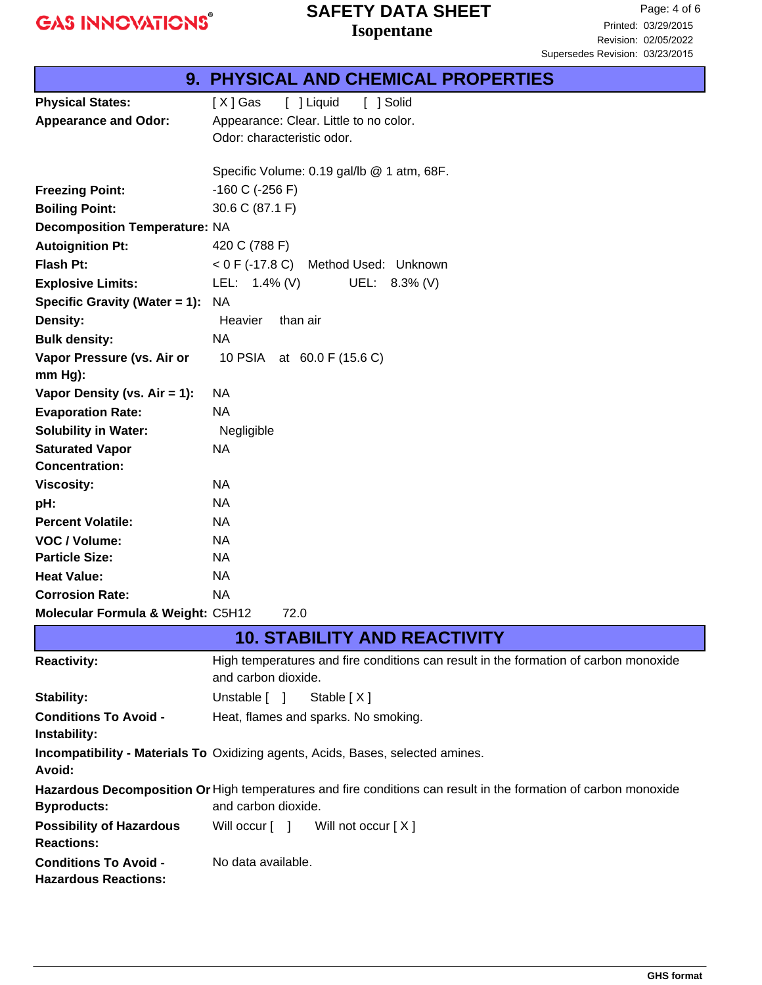**GAS INNOVATIONS®** 

## **Isopentane SAFETY DATA SHEET**

|                                      | <b>9. PHYSICAL AND CHEMICAL PROPERTIES</b> |  |  |
|--------------------------------------|--------------------------------------------|--|--|
| <b>Physical States:</b>              | [ ] Liquid<br>[X] Gas<br>[ ] Solid         |  |  |
| <b>Appearance and Odor:</b>          | Appearance: Clear. Little to no color.     |  |  |
|                                      | Odor: characteristic odor.                 |  |  |
|                                      |                                            |  |  |
|                                      | Specific Volume: 0.19 gal/lb @ 1 atm, 68F. |  |  |
| <b>Freezing Point:</b>               | $-160$ C ( $-256$ F)                       |  |  |
| <b>Boiling Point:</b>                | 30.6 C (87.1 F)                            |  |  |
| <b>Decomposition Temperature: NA</b> |                                            |  |  |
| <b>Autoignition Pt:</b>              | 420 C (788 F)                              |  |  |
| <b>Flash Pt:</b>                     | $<$ 0 F (-17.8 C)<br>Method Used: Unknown  |  |  |
| <b>Explosive Limits:</b>             | LEL: 1.4% (V)<br>UEL:<br>$8.3\%$ (V)       |  |  |
| Specific Gravity (Water = 1):        | <b>NA</b>                                  |  |  |
| Density:                             | Heavier<br>than air                        |  |  |
| <b>Bulk density:</b>                 | <b>NA</b>                                  |  |  |
| Vapor Pressure (vs. Air or           | 10 PSIA at 60.0 F (15.6 C)                 |  |  |
| $mm Hg$ ):                           |                                            |  |  |
| Vapor Density (vs. $Air = 1$ ):      | <b>NA</b>                                  |  |  |
| <b>Evaporation Rate:</b>             | <b>NA</b>                                  |  |  |
| <b>Solubility in Water:</b>          | Negligible                                 |  |  |
| <b>Saturated Vapor</b>               | <b>NA</b>                                  |  |  |
| <b>Concentration:</b>                |                                            |  |  |
| <b>Viscosity:</b>                    | <b>NA</b>                                  |  |  |
| pH:                                  | <b>NA</b>                                  |  |  |
| <b>Percent Volatile:</b>             | <b>NA</b>                                  |  |  |
| VOC / Volume:                        | <b>NA</b>                                  |  |  |
| <b>Particle Size:</b>                | <b>NA</b>                                  |  |  |
| <b>Heat Value:</b>                   | <b>NA</b>                                  |  |  |
| <b>Corrosion Rate:</b>               | <b>NA</b>                                  |  |  |
| Molecular Formula & Weight: C5H12    | 72.0                                       |  |  |
| <b>10. STABILITY AND REACTIVITY</b>  |                                            |  |  |

| <b>Reactivity:</b>                                                                                                                                           | High temperatures and fire conditions can result in the formation of carbon monoxide<br>and carbon dioxide. |  |  |  |
|--------------------------------------------------------------------------------------------------------------------------------------------------------------|-------------------------------------------------------------------------------------------------------------|--|--|--|
| Stability:                                                                                                                                                   | Unstable $\begin{bmatrix} 1 \end{bmatrix}$<br>Stable [X]                                                    |  |  |  |
| <b>Conditions To Avoid -</b><br>Instability:                                                                                                                 | Heat, flames and sparks. No smoking.                                                                        |  |  |  |
| Avoid:                                                                                                                                                       | <b>Incompatibility - Materials To Oxidizing agents, Acids, Bases, selected amines.</b>                      |  |  |  |
| Hazardous Decomposition Or High temperatures and fire conditions can result in the formation of carbon monoxide<br>and carbon dioxide.<br><b>Byproducts:</b> |                                                                                                             |  |  |  |
| <b>Possibility of Hazardous</b><br><b>Reactions:</b>                                                                                                         | Will occur [ ]<br>Will not occur [ X ]                                                                      |  |  |  |
| <b>Conditions To Avoid -</b><br><b>Hazardous Reactions:</b>                                                                                                  | No data available.                                                                                          |  |  |  |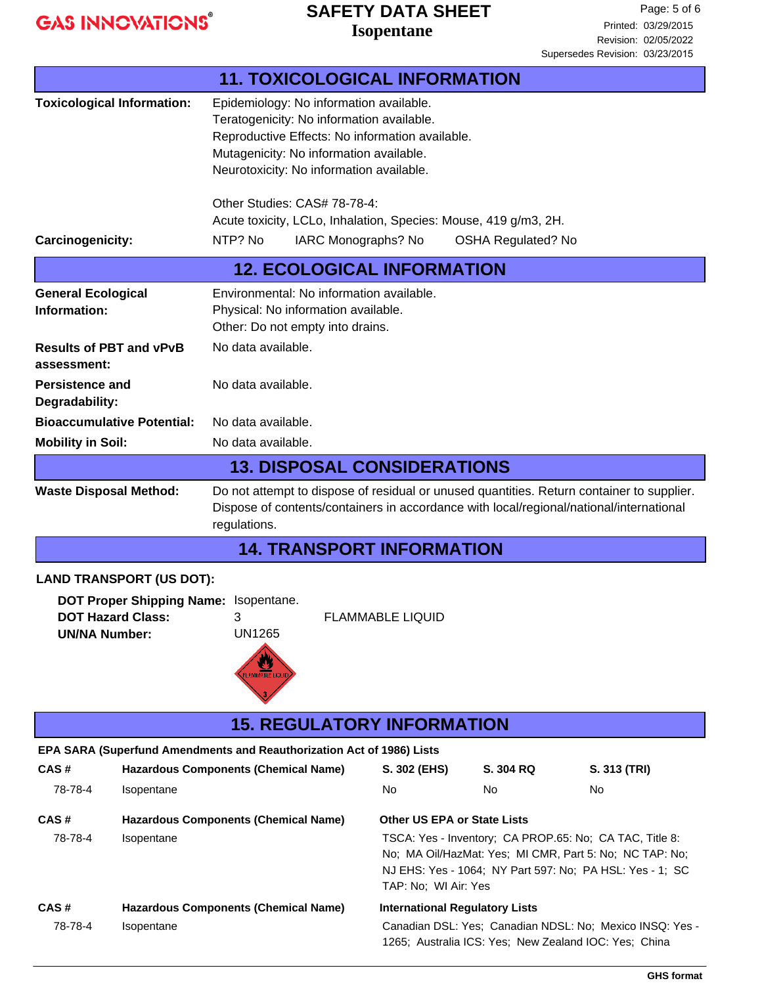**GAS INNOVATIONS®** 

## **Isopentane SAFETY DATA SHEET**

Page: 5 of 6 Printed: 03/29/2015 Revision: 02/05/2022 Supersedes Revision: 03/23/2015

|                                                                                                                                                               |                                                                                                                                                                                                                                       | <b>11. TOXICOLOGICAL INFORMATION</b>                                                                                                                                                                                           |                                                                                                                                                                                                                                              |                 |                     |
|---------------------------------------------------------------------------------------------------------------------------------------------------------------|---------------------------------------------------------------------------------------------------------------------------------------------------------------------------------------------------------------------------------------|--------------------------------------------------------------------------------------------------------------------------------------------------------------------------------------------------------------------------------|----------------------------------------------------------------------------------------------------------------------------------------------------------------------------------------------------------------------------------------------|-----------------|---------------------|
| <b>Toxicological Information:</b>                                                                                                                             |                                                                                                                                                                                                                                       | Epidemiology: No information available.<br>Teratogenicity: No information available.<br>Reproductive Effects: No information available.<br>Mutagenicity: No information available.<br>Neurotoxicity: No information available. |                                                                                                                                                                                                                                              |                 |                     |
|                                                                                                                                                               |                                                                                                                                                                                                                                       | Other Studies: CAS# 78-78-4:<br>Acute toxicity, LCLo, Inhalation, Species: Mouse, 419 g/m3, 2H.                                                                                                                                |                                                                                                                                                                                                                                              |                 |                     |
| Carcinogenicity:                                                                                                                                              |                                                                                                                                                                                                                                       | NTP? No<br>IARC Monographs? No<br><b>OSHA Regulated? No</b>                                                                                                                                                                    |                                                                                                                                                                                                                                              |                 |                     |
|                                                                                                                                                               |                                                                                                                                                                                                                                       | <b>12. ECOLOGICAL INFORMATION</b>                                                                                                                                                                                              |                                                                                                                                                                                                                                              |                 |                     |
| <b>General Ecological</b><br>Information:                                                                                                                     |                                                                                                                                                                                                                                       | Environmental: No information available.<br>Physical: No information available.<br>Other: Do not empty into drains.                                                                                                            |                                                                                                                                                                                                                                              |                 |                     |
| <b>Results of PBT and vPvB</b><br>assessment:                                                                                                                 |                                                                                                                                                                                                                                       | No data available.                                                                                                                                                                                                             |                                                                                                                                                                                                                                              |                 |                     |
| <b>Persistence and</b><br>Degradability:                                                                                                                      |                                                                                                                                                                                                                                       | No data available.                                                                                                                                                                                                             |                                                                                                                                                                                                                                              |                 |                     |
|                                                                                                                                                               | <b>Bioaccumulative Potential:</b>                                                                                                                                                                                                     | No data available.                                                                                                                                                                                                             |                                                                                                                                                                                                                                              |                 |                     |
| <b>Mobility in Soil:</b>                                                                                                                                      |                                                                                                                                                                                                                                       | No data available.                                                                                                                                                                                                             |                                                                                                                                                                                                                                              |                 |                     |
|                                                                                                                                                               |                                                                                                                                                                                                                                       | <b>13. DISPOSAL CONSIDERATIONS</b>                                                                                                                                                                                             |                                                                                                                                                                                                                                              |                 |                     |
|                                                                                                                                                               | Do not attempt to dispose of residual or unused quantities. Return container to supplier.<br><b>Waste Disposal Method:</b><br>Dispose of contents/containers in accordance with local/regional/national/international<br>regulations. |                                                                                                                                                                                                                                |                                                                                                                                                                                                                                              |                 |                     |
|                                                                                                                                                               |                                                                                                                                                                                                                                       | <b>14. TRANSPORT INFORMATION</b>                                                                                                                                                                                               |                                                                                                                                                                                                                                              |                 |                     |
|                                                                                                                                                               | <b>LAND TRANSPORT (US DOT):</b>                                                                                                                                                                                                       |                                                                                                                                                                                                                                |                                                                                                                                                                                                                                              |                 |                     |
| DOT Proper Shipping Name: Isopentane.<br><b>FLAMMABLE LIQUID</b><br><b>DOT Hazard Class:</b><br>3.<br><b>UN1265</b><br><b>UN/NA Number:</b><br>LAMMABLE LIQUI |                                                                                                                                                                                                                                       |                                                                                                                                                                                                                                |                                                                                                                                                                                                                                              |                 |                     |
|                                                                                                                                                               |                                                                                                                                                                                                                                       | <b>15. REGULATORY INFORMATION</b>                                                                                                                                                                                              |                                                                                                                                                                                                                                              |                 |                     |
|                                                                                                                                                               |                                                                                                                                                                                                                                       | EPA SARA (Superfund Amendments and Reauthorization Act of 1986) Lists                                                                                                                                                          |                                                                                                                                                                                                                                              |                 |                     |
| CAS#<br>78-78-4                                                                                                                                               |                                                                                                                                                                                                                                       | <b>Hazardous Components (Chemical Name)</b>                                                                                                                                                                                    | S. 302 (EHS)<br>No                                                                                                                                                                                                                           | S. 304 RQ<br>No | S. 313 (TRI)<br>No. |
|                                                                                                                                                               | Isopentane                                                                                                                                                                                                                            |                                                                                                                                                                                                                                |                                                                                                                                                                                                                                              |                 |                     |
| CAS#<br>78-78-4                                                                                                                                               | Isopentane                                                                                                                                                                                                                            | <b>Hazardous Components (Chemical Name)</b>                                                                                                                                                                                    | <b>Other US EPA or State Lists</b><br>TSCA: Yes - Inventory; CA PROP.65: No; CA TAC, Title 8:<br>No; MA Oil/HazMat: Yes; MI CMR, Part 5: No; NC TAP: No;<br>NJ EHS: Yes - 1064; NY Part 597: No; PA HSL: Yes - 1; SC<br>TAP: No; WI Air: Yes |                 |                     |
| CAS#                                                                                                                                                          |                                                                                                                                                                                                                                       | <b>Hazardous Components (Chemical Name)</b>                                                                                                                                                                                    | <b>International Regulatory Lists</b>                                                                                                                                                                                                        |                 |                     |
| 78-78-4                                                                                                                                                       | Isopentane                                                                                                                                                                                                                            |                                                                                                                                                                                                                                | Canadian DSL: Yes; Canadian NDSL: No; Mexico INSQ: Yes -<br>1265; Australia ICS: Yes; New Zealand IOC: Yes; China                                                                                                                            |                 |                     |